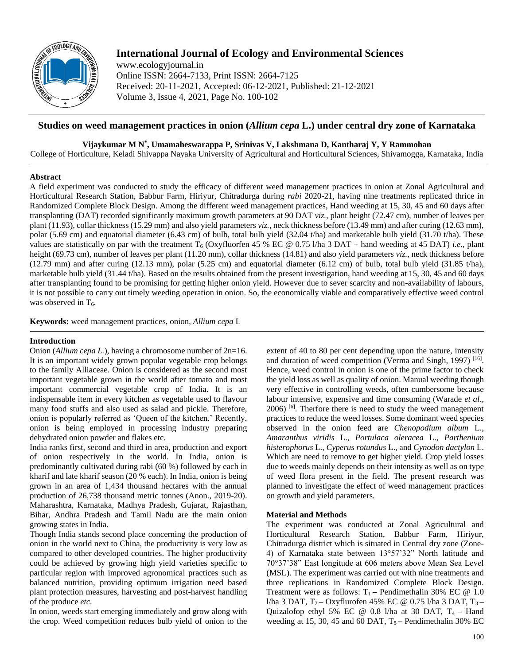

# **International Journal of Ecology and Environmental Sciences**

www.ecologyjournal.in Online ISSN: 2664-7133, Print ISSN: 2664-7125 Received: 20-11-2021, Accepted: 06-12-2021, Published: 21-12-2021 Volume 3, Issue 4, 2021, Page No. 100-102

# **Studies on weed management practices in onion (***Allium cepa* **L.) under central dry zone of Karnataka**

**Vijaykumar M N\* , Umamaheswarappa P, Srinivas V, Lakshmana D, Kantharaj Y, Y Rammohan**

College of Horticulture, Keladi Shivappa Nayaka University of Agricultural and Horticultural Sciences, Shivamogga, Karnataka, India

# **Abstract**

A field experiment was conducted to study the efficacy of different weed management practices in onion at Zonal Agricultural and Horticultural Research Station, Babbur Farm, Hiriyur, Chitradurga during *rabi* 2020-21, having nine treatments replicated thrice in Randomized Complete Block Design. Among the different weed management practices, Hand weeding at 15, 30, 45 and 60 days after transplanting (DAT) recorded significantly maximum growth parameters at 90 DAT *viz.,* plant height (72.47 cm), number of leaves per plant (11.93), collar thickness (15.29 mm) and also yield parameters *viz.,* neck thickness before (13.49 mm) and after curing (12.63 mm), polar (5.69 cm) and equatorial diameter (6.43 cm) of bulb, total bulb yield (32.04 t/ha) and marketable bulb yield (31.70 t/ha). These values are statistically on par with the treatment T<sub>6</sub> (Oxyfluorfen 45 % EC @ 0.75 l/ha 3 DAT + hand weeding at 45 DAT) *i.e.*, plant height (69.73 cm), number of leaves per plant (11.20 mm), collar thickness (14.81) and also yield parameters *viz.,* neck thickness before  $(12.79 \text{ mm})$  and after curing  $(12.13 \text{ mm})$ , polar  $(5.25 \text{ cm})$  and equatorial diameter  $(6.12 \text{ cm})$  of bulb, total bulb yield  $(31.85 \text{ t/ha})$ , marketable bulb yield (31.44 t/ha). Based on the results obtained from the present investigation, hand weeding at 15, 30, 45 and 60 days after transplanting found to be promising for getting higher onion yield. However due to sever scarcity and non-availability of labours, it is not possible to carry out timely weeding operation in onion. So, the economically viable and comparatively effective weed control was observed in  $T_6$ .

**Keywords:** weed management practices, onion, *Allium cepa* L

# **Introduction**

Onion (*Allium cepa L.*), having a chromosome number of 2n=16. It is an important widely grown popular vegetable crop belongs to the family Alliaceae. Onion is considered as the second most important vegetable grown in the world after tomato and most important commercial vegetable crop of India. It is an indispensable item in every kitchen as vegetable used to flavour many food stuffs and also used as salad and pickle. Therefore, onion is popularly referred as 'Queen of the kitchen.' Recently, onion is being employed in processing industry preparing dehydrated onion powder and flakes etc.

India ranks first, second and third in area, production and export of onion respectively in the world. In India, onion is predominantly cultivated during rabi (60 %) followed by each in kharif and late kharif season (20 % each). In India, onion is being grown in an area of 1,434 thousand hectares with the annual production of 26,738 thousand metric tonnes (Anon., 2019-20). Maharashtra, Karnataka, Madhya Pradesh, Gujarat, Rajasthan, Bihar, Andhra Pradesh and Tamil Nadu are the main onion growing states in India.

Though India stands second place concerning the production of onion in the world next to China, the productivity is very low as compared to other developed countries. The higher productivity could be achieved by growing high yield varieties specific to particular region with improved agronomical practices such as balanced nutrition, providing optimum irrigation need based plant protection measures, harvesting and post-harvest handling of the produce *etc.*

In onion, weeds start emerging immediately and grow along with the crop. Weed competition reduces bulb yield of onion to the extent of 40 to 80 per cent depending upon the nature, intensity and duration of weed competition (Verma and Singh, 1997)<sup>[16]</sup>. Hence, weed control in onion is one of the prime factor to check the yield loss as well as quality of onion. Manual weeding though very effective in controlling weeds, often cumbersome because labour intensive, expensive and time consuming (Warade *et al*.,  $2006$ ) <sup>[6]</sup>. Therfore there is need to study the weed management practices to reduce the weed losses. Some dominant weed species observed in the onion feed are *Chenopodium album* L., *Amaranthus viridis* L., *Portulaca oleracea* L., *Parthenium histerophorus* L., *Cyperus rotundus* L., and *Cynodon dactylon* L. Which are need to remove to get higher yield. Crop yield losses due to weeds mainly depends on their intensity as well as on type of weed flora present in the field. The present research was planned to investigate the effect of weed management practices on growth and yield parameters.

# **Material and Methods**

The experiment was conducted at Zonal Agricultural and Horticultural Research Station, Babbur Farm, Hiriyur, Chitradurga district which is situated in Central dry zone (Zone-4) of Karnataka state between 13°57'32" North latitude and 70°37'38" East longitude at 606 meters above Mean Sea Level (MSL). The experiment was carried out with nine treatments and three replications in Randomized Complete Block Design. Treatment were as follows:  $T_1$  – Pendimethalin 30% EC @ 1.0 l/ha 3 DAT, T2 **–** Oxyflurofen 45% EC @ 0.75 l/ha 3 DAT, T3 **–** Quizalofop ethyl 5% EC @ 0.8 l/ha at 30 DAT, T4 **–** Hand weeding at 15, 30, 45 and 60 DAT,  $T_5$  – Pendimethalin 30% EC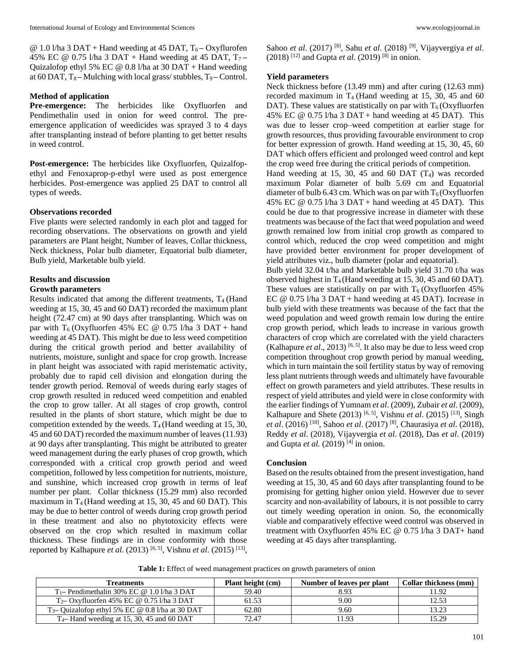@ 1.0 l/ha 3 DAT + Hand weeding at 45 DAT, T<sub>6</sub> – Oxyflurofen 45% EC @ 0.75 l/ha 3 DAT + Hand weeding at 45 DAT, T7 **–** Quizalofop ethyl 5% EC @ 0.8 l/ha at 30 DAT + Hand weeding at 60 DAT, T8 **–** Mulching with local grass/ stubbles, T9 **–** Control.

### **Method of application**

**Pre-emergence:** The herbicides like Oxyfluorfen and Pendimethalin used in onion for weed control. The preemergence application of weedicides was sprayed 3 to 4 days after transplanting instead of before planting to get better results in weed control.

**Post-emergence:** The herbicides like Oxyfluorfen, Quizalfopethyl and Fenoxaprop-p-ethyl were used as post emergence herbicides. Post-emergence was applied 25 DAT to control all types of weeds.

#### **Observations recorded**

Five plants were selected randomly in each plot and tagged for recording observations. The observations on growth and yield parameters are Plant height, Number of leaves, Collar thickness, Neck thickness, Polar bulb diameter, Equatorial bulb diameter, Bulb yield, Marketable bulb yield.

#### **Results and discussion**

#### **Growth parameters**

Results indicated that among the different treatments,  $T<sub>4</sub>$  (Hand weeding at 15, 30, 45 and 60 DAT) recorded the maximum plant height (72.47 cm) at 90 days after transplanting. Which was on par with  $T_6$  (Oxyfluorfen 45% EC @ 0.75 l/ha 3 DAT + hand weeding at 45 DAT). This might be due to less weed competition during the critical growth period and better availability of nutrients, moisture, sunlight and space for crop growth. Increase in plant height was associated with rapid meristematic activity, probably due to rapid cell division and elongation during the tender growth period. Removal of weeds during early stages of crop growth resulted in reduced weed competition and enabled the crop to grow taller. At all stages of crop growth, control resulted in the plants of short stature, which might be due to competition extended by the weeds.  $T_4$  (Hand weeding at 15, 30, 45 and 60 DAT) recorded the maximum number of leaves (11.93) at 90 days after transplanting. This might be attributed to greater weed management during the early phases of crop growth, which corresponded with a critical crop growth period and weed competition, followed by less competition for nutrients, moisture, and sunshine, which increased crop growth in terms of leaf number per plant. Collar thickness (15.29 mm) also recorded maximum in  $T_4$  (Hand weeding at 15, 30, 45 and 60 DAT). This may be due to better control of weeds during crop growth period in these treatment and also no phytotoxicity effects were observed on the crop which resulted in maximum collar thickness. These findings are in close conformity with those reported by Kalhapure *et al*. (2013) [6, 5] , Vishnu *et al*. (2015) [13] , Sahoo *et al*. (2017) [8] , Sahu *et al*. (2018) [9] , Vijayvergiya *et al*.  $(2018)$ <sup>[12]</sup> and Gupta *et al.*  $(2019)$ <sup>[8]</sup> in onion.

# **Yield parameters**

Neck thickness before (13.49 mm) and after curing (12.63 mm) recorded maximum in  $T_4$  (Hand weeding at 15, 30, 45 and 60 DAT). These values are statistically on par with  $T_6$  (Oxyfluorfen 45% EC @ 0.75 l/ha 3 DAT + hand weeding at 45 DAT). This was due to lesser crop–weed competition at earlier stage for growth resources, thus providing favourable environment to crop for better expression of growth. Hand weeding at 15, 30, 45, 60 DAT which offers efficient and prolonged weed control and kept the crop weed free during the critical periods of competition.

Hand weeding at 15, 30, 45 and 60 DAT  $(T_4)$  was recorded maximum Polar diameter of bulb 5.69 cm and Equatorial diameter of bulb 6.43 cm. Which was on par with  $T_6$  (Oxyfluorfen 45% EC @ 0.75 l/ha 3 DAT + hand weeding at 45 DAT). This could be due to that progressive increase in diameter with these treatments was because of the fact that weed population and weed growth remained low from initial crop growth as compared to control which, reduced the crop weed competition and might have provided better environment for proper development of yield attributes viz., bulb diameter (polar and equatorial).

Bulb yield 32.04 t/ha and Marketable bulb yield 31.70 t/ha was observed highest in T4 (Hand weeding at 15, 30, 45 and 60 DAT). These values are statistically on par with  $T<sub>6</sub>$  (Oxyfluorfen 45%) EC  $@ 0.75 1/ha 3 DAT + hand weeding at 45 DAT). Increase in$ bulb yield with these treatments was because of the fact that the weed population and weed growth remain low during the entire crop growth period, which leads to increase in various growth characters of crop which are correlated with the yield characters (Kalhapure *et al.*, 2013)<sup>[6, 5]</sup>. It also may be due to less weed crop competition throughout crop growth period by manual weeding, which in turn maintain the soil fertility status by way of removing less plant nutrients through weeds and ultimately have favourable effect on growth parameters and yield attributes. These results in respect of yield attributes and yield were in close conformity with the earlier findings of Yumnam *et al*. (2009), Zubair *et al*. (2009), Kalhapure and Shete  $(2013)$  <sup>[6, 5]</sup>, Vishnu *et al.*  $(2015)$ <sup>[13]</sup>, Singh *et al*. (2016) [10] , Sahoo *et al*. (2017) [8] , Chaurasiya *et al*. (2018), Reddy *et al*. (2018), Vijayvergia *et al*. (2018), Das *et al*. (2019) and Gupta et al. (2019)<sup>[4]</sup> in onion.

#### **Conclusion**

Based on the results obtained from the present investigation, hand weeding at 15, 30, 45 and 60 days after transplanting found to be promising for getting higher onion yield. However due to sever scarcity and non-availability of labours, it is not possible to carry out timely weeding operation in onion. So, the economically viable and comparatively effective weed control was observed in treatment with Oxyfluorfen 45% EC @ 0.75 l/ha 3 DAT+ hand weeding at 45 days after transplanting.

Table 1: Effect of weed management practices on growth parameters of onion

| <b>Treatments</b>                                   | <b>Plant height (cm)</b> | Number of leaves per plant | Collar thickness (mm) |  |
|-----------------------------------------------------|--------------------------|----------------------------|-----------------------|--|
| $T_1$ - Pendimethalin 30% EC @ 1.0 l/ha 3 DAT       | 59.40                    | 8.93                       | 11.92                 |  |
| $T_2$ Oxyfluorfen 45% EC @ 0.75 l/ha 3 DAT          | 61.53                    | 9.00                       | 12.53                 |  |
| $T_3$ – Quizalofop ethyl 5% EC @ 0.8 l/ha at 30 DAT | 62.80                    | 9.60                       | 13.23                 |  |
| $T_4$ – Hand weeding at 15, 30, 45 and 60 DAT       | 72.47                    | 1.93                       | 15.29                 |  |